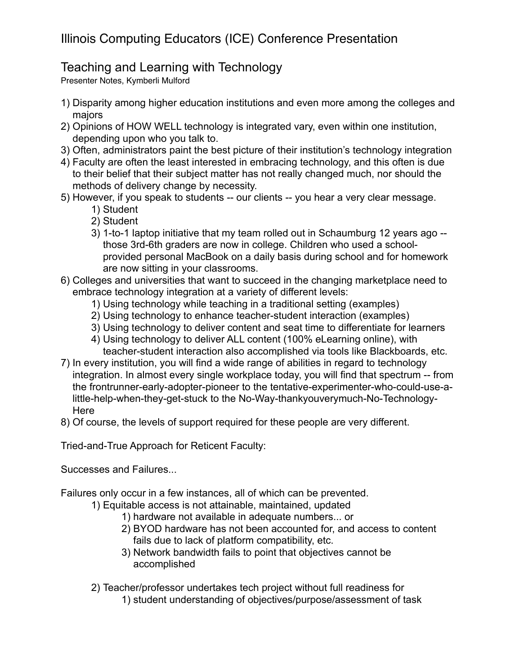## Illinois Computing Educators (ICE) Conference Presentation

### Teaching and Learning with Technology

Presenter Notes, Kymberli Mulford

- 1) Disparity among higher education institutions and even more among the colleges and majors
- 2) Opinions of HOW WELL technology is integrated vary, even within one institution, depending upon who you talk to.
- 3) Often, administrators paint the best picture of their institution's technology integration
- 4) Faculty are often the least interested in embracing technology, and this often is due to their belief that their subject matter has not really changed much, nor should the methods of delivery change by necessity.
- 5) However, if you speak to students -- our clients -- you hear a very clear message.
	- 1) Student
	- 2) Student
	- 3) 1-to-1 laptop initiative that my team rolled out in Schaumburg 12 years ago those 3rd-6th graders are now in college. Children who used a schoolprovided personal MacBook on a daily basis during school and for homework are now sitting in your classrooms.
- 6) Colleges and universities that want to succeed in the changing marketplace need to embrace technology integration at a variety of different levels:
	- 1) Using technology while teaching in a traditional setting (examples)
	- 2) Using technology to enhance teacher-student interaction (examples)
	- 3) Using technology to deliver content and seat time to differentiate for learners
	- 4) Using technology to deliver ALL content (100% eLearning online), with teacher-student interaction also accomplished via tools like Blackboards, etc.
- 7) In every institution, you will find a wide range of abilities in regard to technology integration. In almost every single workplace today, you will find that spectrum -- from the frontrunner-early-adopter-pioneer to the tentative-experimenter-who-could-use-alittle-help-when-they-get-stuck to the No-Way-thankyouverymuch-No-Technology-Here
- 8) Of course, the levels of support required for these people are very different.

Tried-and-True Approach for Reticent Faculty:

Successes and Failures...

Failures only occur in a few instances, all of which can be prevented.

- 1) Equitable access is not attainable, maintained, updated
	- 1) hardware not available in adequate numbers... or
	- 2) BYOD hardware has not been accounted for, and access to content fails due to lack of platform compatibility, etc.
	- 3) Network bandwidth fails to point that objectives cannot be accomplished
- 2) Teacher/professor undertakes tech project without full readiness for 1) student understanding of objectives/purpose/assessment of task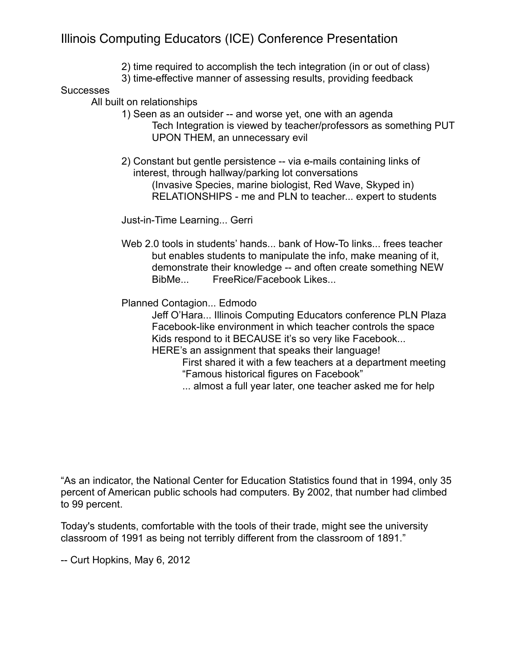### Illinois Computing Educators (ICE) Conference Presentation

- 2) time required to accomplish the tech integration (in or out of class)
- 3) time-effective manner of assessing results, providing feedback

#### **Successes**

All built on relationships

- 1) Seen as an outsider -- and worse yet, one with an agenda Tech Integration is viewed by teacher/professors as something PUT UPON THEM, an unnecessary evil
- 2) Constant but gentle persistence -- via e-mails containing links of interest, through hallway/parking lot conversations (Invasive Species, marine biologist, Red Wave, Skyped in) RELATIONSHIPS - me and PLN to teacher... expert to students

Just-in-Time Learning... Gerri

Web 2.0 tools in students' hands... bank of How-To links... frees teacher but enables students to manipulate the info, make meaning of it, demonstrate their knowledge -- and often create something NEW BibMe... FreeRice/Facebook Likes...

Planned Contagion... Edmodo

Jeff O'Hara... Illinois Computing Educators conference PLN Plaza Facebook-like environment in which teacher controls the space Kids respond to it BECAUSE it's so very like Facebook... HERE's an assignment that speaks their language!

First shared it with a few teachers at a department meeting "Famous historical figures on Facebook"

... almost a full year later, one teacher asked me for help

"As an indicator, the National Center for Education Statistics found that in 1994, only 35 percent of American public schools had computers. By 2002, that number had climbed to 99 percent.

Today's students, comfortable with the tools of their trade, might see the university classroom of 1991 as being not terribly different from the classroom of 1891."

-- Curt Hopkins, May 6, 2012